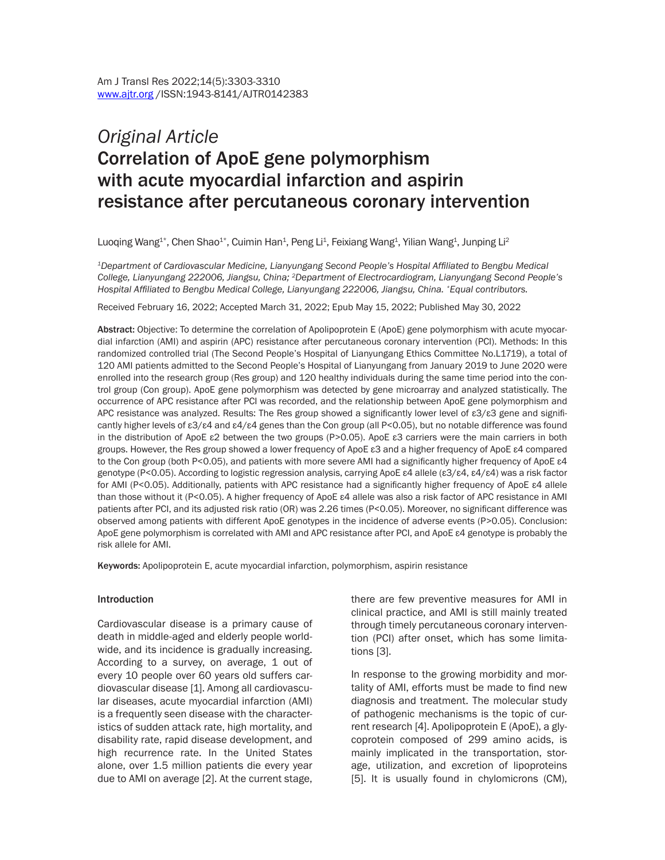# *Original Article*  Correlation of ApoE gene polymorphism with acute myocardial infarction and aspirin resistance after percutaneous coronary intervention

Luoqing Wang $^{1*}$ , Chen Shao $^{1*}$ , Cuimin Han $^{1}$ , Peng Li $^{1}$ , Feixiang Wang $^{4}$ , Yilian Wang $^{1}$ , Junping Li $^{2}$ 

*<sup>1</sup>Department of Cardiovascular Medicine, Lianyungang Second People's Hospital Affiliated to Bengbu Medical College, Lianyungang 222006, Jiangsu, China; 2Department of Electrocardiogram, Lianyungang Second People's Hospital Affiliated to Bengbu Medical College, Lianyungang 222006, Jiangsu, China. \*Equal contributors.*

Received February 16, 2022; Accepted March 31, 2022; Epub May 15, 2022; Published May 30, 2022

Abstract: Objective: To determine the correlation of Apolipoprotein E (ApoE) gene polymorphism with acute myocardial infarction (AMI) and aspirin (APC) resistance after percutaneous coronary intervention (PCI). Methods: In this randomized controlled trial (The Second People's Hospital of Lianyungang Ethics Committee No.L1719), a total of 120 AMI patients admitted to the Second People's Hospital of Lianyungang from January 2019 to June 2020 were enrolled into the research group (Res group) and 120 healthy individuals during the same time period into the control group (Con group). ApoE gene polymorphism was detected by gene microarray and analyzed statistically. The occurrence of APC resistance after PCI was recorded, and the relationship between ApoE gene polymorphism and APC resistance was analyzed. Results: The Res group showed a significantly lower level of ε3/ε3 gene and significantly higher levels of ε3/ε4 and ε4/ε4 genes than the Con group (all P<0.05), but no notable difference was found in the distribution of ApoE ε2 between the two groups (P>0.05). ApoE ε3 carriers were the main carriers in both groups. However, the Res group showed a lower frequency of ApoE ε3 and a higher frequency of ApoE ε4 compared to the Con group (both P<0.05), and patients with more severe AMI had a significantly higher frequency of ApoE ε4 genotype (P<0.05). According to logistic regression analysis, carrying ApoE ε4 allele (ε3/ε4, ε4/ε4) was a risk factor for AMI (P<0.05). Additionally, patients with APC resistance had a significantly higher frequency of ApoE ε4 allele than those without it (P<0.05). A higher frequency of ApoE ε4 allele was also a risk factor of APC resistance in AMI patients after PCI, and its adjusted risk ratio (OR) was 2.26 times (P<0.05). Moreover, no significant difference was observed among patients with different ApoE genotypes in the incidence of adverse events (P>0.05). Conclusion: ApoE gene polymorphism is correlated with AMI and APC resistance after PCI, and ApoE  $\epsilon$ 4 genotype is probably the risk allele for AMI.

Keywords: Apolipoprotein E, acute myocardial infarction, polymorphism, aspirin resistance

#### Introduction

Cardiovascular disease is a primary cause of death in middle-aged and elderly people worldwide, and its incidence is gradually increasing. According to a survey, on average, 1 out of every 10 people over 60 years old suffers cardiovascular disease [1]. Among all cardiovascular diseases, acute myocardial infarction (AMI) is a frequently seen disease with the characteristics of sudden attack rate, high mortality, and disability rate, rapid disease development, and high recurrence rate. In the United States alone, over 1.5 million patients die every year due to AMI on average [2]. At the current stage, there are few preventive measures for AMI in clinical practice, and AMI is still mainly treated through timely percutaneous coronary intervention (PCI) after onset, which has some limitations [3].

In response to the growing morbidity and mortality of AMI, efforts must be made to find new diagnosis and treatment. The molecular study of pathogenic mechanisms is the topic of current research [4]. Apolipoprotein E (ApoE), a glycoprotein composed of 299 amino acids, is mainly implicated in the transportation, storage, utilization, and excretion of lipoproteins [5]. It is usually found in chylomicrons (CM),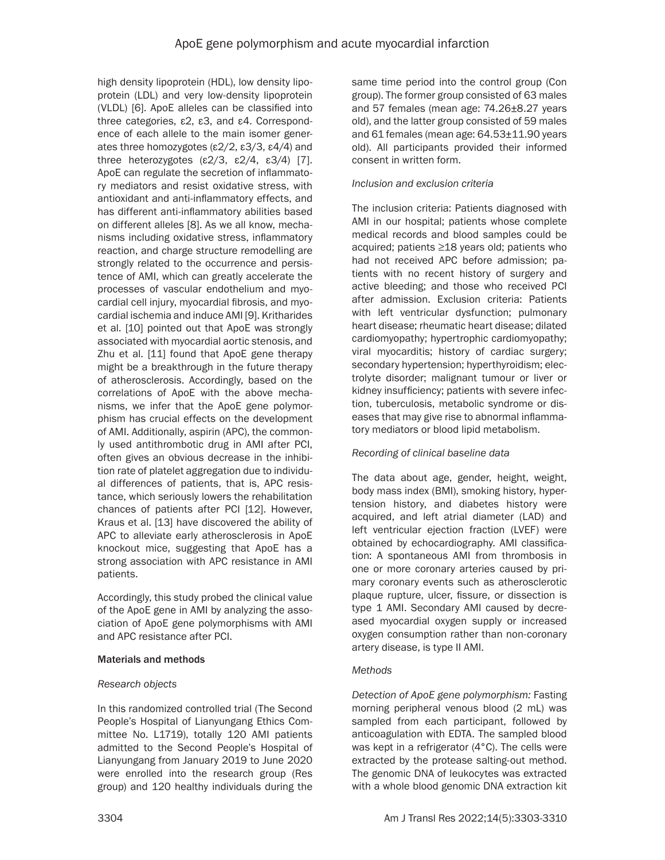high density lipoprotein (HDL), low density lipoprotein (LDL) and very low-density lipoprotein (VLDL) [6]. ApoE alleles can be classified into three categories, ε2, ε3, and ε4. Correspondence of each allele to the main isomer generates three homozygotes (ε2/2, ε3/3, ε4/4) and three heterozygotes (ε2/3, ε2/4, ε3/4) [7]. ApoE can regulate the secretion of inflammatory mediators and resist oxidative stress, with antioxidant and anti-inflammatory effects, and has different anti-inflammatory abilities based on different alleles [8]. As we all know, mechanisms including oxidative stress, inflammatory reaction, and charge structure remodelling are strongly related to the occurrence and persistence of AMI, which can greatly accelerate the processes of vascular endothelium and myocardial cell injury, myocardial fibrosis, and myocardial ischemia and induce AMI [9]. Kritharides et al. [10] pointed out that ApoE was strongly associated with myocardial aortic stenosis, and Zhu et al. [11] found that ApoE gene therapy might be a breakthrough in the future therapy of atherosclerosis. Accordingly, based on the correlations of ApoE with the above mechanisms, we infer that the ApoE gene polymorphism has crucial effects on the development of AMI. Additionally, aspirin (APC), the commonly used antithrombotic drug in AMI after PCI, often gives an obvious decrease in the inhibition rate of platelet aggregation due to individual differences of patients, that is, APC resistance, which seriously lowers the rehabilitation chances of patients after PCI [12]. However, Kraus et al. [13] have discovered the ability of APC to alleviate early atherosclerosis in ApoE knockout mice, suggesting that ApoE has a strong association with APC resistance in AMI patients.

Accordingly, this study probed the clinical value of the ApoE gene in AMI by analyzing the association of ApoE gene polymorphisms with AMI and APC resistance after PCI.

### Materials and methods

### *Research objects*

In this randomized controlled trial (The Second People's Hospital of Lianyungang Ethics Committee No. L1719), totally 120 AMI patients admitted to the Second People's Hospital of Lianyungang from January 2019 to June 2020 were enrolled into the research group (Res group) and 120 healthy individuals during the

same time period into the control group (Con group). The former group consisted of 63 males and 57 females (mean age: 74.26±8.27 years old), and the latter group consisted of 59 males and 61 females (mean age: 64.53±11.90 years old). All participants provided their informed consent in written form.

### *Inclusion and exclusion criteria*

The inclusion criteria: Patients diagnosed with AMI in our hospital; patients whose complete medical records and blood samples could be acquired; patients ≥18 years old; patients who had not received APC before admission; patients with no recent history of surgery and active bleeding; and those who received PCI after admission. Exclusion criteria: Patients with left ventricular dysfunction; pulmonary heart disease; rheumatic heart disease; dilated cardiomyopathy; hypertrophic cardiomyopathy; viral myocarditis; history of cardiac surgery; secondary hypertension; hyperthyroidism; electrolyte disorder; malignant tumour or liver or kidney insufficiency; patients with severe infection, tuberculosis, metabolic syndrome or diseases that may give rise to abnormal inflammatory mediators or blood lipid metabolism.

### *Recording of clinical baseline data*

The data about age, gender, height, weight, body mass index (BMI), smoking history, hypertension history, and diabetes history were acquired, and left atrial diameter (LAD) and left ventricular ejection fraction (LVEF) were obtained by echocardiography. AMI classification: A spontaneous AMI from thrombosis in one or more coronary arteries caused by primary coronary events such as atherosclerotic plaque rupture, ulcer, fissure, or dissection is type 1 AMI. Secondary AMI caused by decreased myocardial oxygen supply or increased oxygen consumption rather than non-coronary artery disease, is type II AMI.

### *Methods*

*Detection of ApoE gene polymorphism:* Fasting morning peripheral venous blood (2 mL) was sampled from each participant, followed by anticoagulation with EDTA. The sampled blood was kept in a refrigerator (4°C). The cells were extracted by the protease salting-out method. The genomic DNA of leukocytes was extracted with a whole blood genomic DNA extraction kit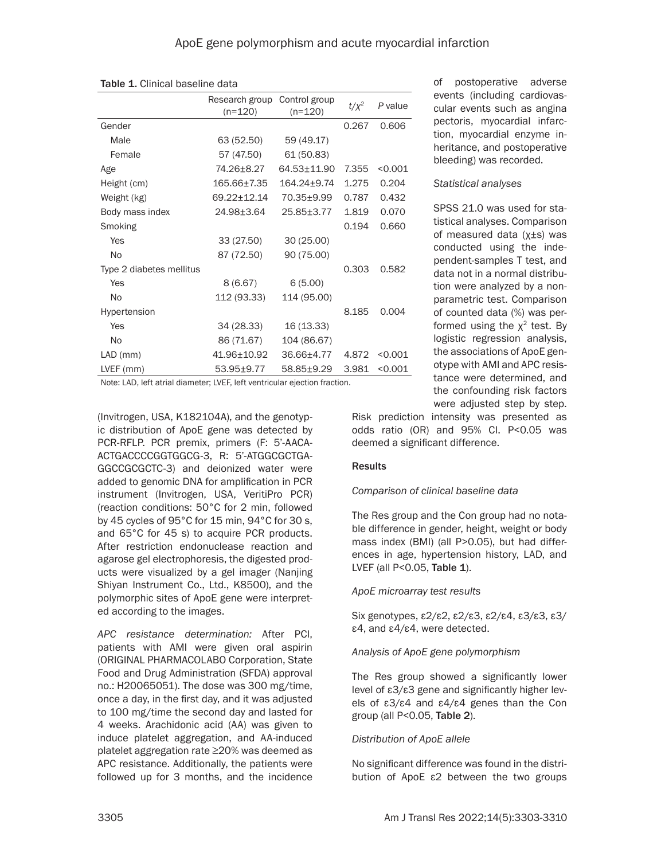|                          | Research group<br>$(n=120)$ | Control group<br>$(n=120)$ | $t/\chi^2$ | P value |
|--------------------------|-----------------------------|----------------------------|------------|---------|
| Gender                   |                             |                            | 0.267      | 0.606   |
| Male                     | 63 (52.50)                  | 59 (49.17)                 |            |         |
| Female                   | 57 (47.50)                  | 61 (50.83)                 |            |         |
| Age                      | 74.26±8.27                  | 64.53±11.90                | 7.355      | < 0.001 |
| Height (cm)              | 165.66±7.35                 | 164.24+9.74                | 1.275      | 0.204   |
| Weight (kg)              | 69.22+12.14                 | 70.35+9.99                 | 0.787      | 0.432   |
| Body mass index          | 24.98±3.64                  | 25.85±3.77                 | 1.819      | 0.070   |
| Smoking                  |                             |                            | 0.194      | 0.660   |
| Yes                      | 33 (27.50)                  | 30(25.00)                  |            |         |
| N <sub>0</sub>           | 87 (72.50)                  | 90 (75.00)                 |            |         |
| Type 2 diabetes mellitus |                             |                            | 0.303      | 0.582   |
| Yes                      | 8(6.67)                     | 6(5.00)                    |            |         |
| No                       | 112 (93.33)                 | 114 (95.00)                |            |         |
| Hypertension             |                             |                            | 8.185      | 0.004   |
| Yes                      | 34 (28.33)                  | 16 (13.33)                 |            |         |
| No                       | 86 (71.67)                  | 104 (86.67)                |            |         |
| $LAD$ (mm)               | 41.96±10.92                 | 36.66±4.77                 | 4.872      | < 0.001 |
| LVEF (mm)                | 53.95±9.77                  | 58.85±9.29                 | 3.981      | < 0.001 |

Table 1. Clinical baseline data

Note: LAD, left atrial diameter; LVEF, left ventricular ejection fraction.

(Invitrogen, USA, K182104A), and the genotypic distribution of ApoE gene was detected by PCR-RFLP. PCR premix, primers (F: 5'-AACA-ACTGACCCCGGTGGCG-3, R: 5'-ATGGCGCTGA-GGCCGCGCTC-3) and deionized water were added to genomic DNA for amplification in PCR instrument (Invitrogen, USA, VeritiPro PCR) (reaction conditions: 50°C for 2 min, followed by 45 cycles of 95°C for 15 min, 94°C for 30 s, and 65°C for 45 s) to acquire PCR products. After restriction endonuclease reaction and agarose gel electrophoresis, the digested products were visualized by a gel imager (Nanjing Shiyan Instrument Co., Ltd., K8500), and the polymorphic sites of ApoE gene were interpreted according to the images.

*APC resistance determination:* After PCI, patients with AMI were given oral aspirin (ORIGINAL PHARMACOLABO Corporation, State Food and Drug Administration (SFDA) approval no.: H20065051). The dose was 300 mg/time, once a day, in the first day, and it was adjusted to 100 mg/time the second day and lasted for 4 weeks. Arachidonic acid (AA) was given to induce platelet aggregation, and AA-induced platelet aggregation rate ≥20% was deemed as APC resistance. Additionally, the patients were followed up for 3 months, and the incidence

of postoperative adverse events (including cardiovascular events such as angina pectoris, myocardial infarction, myocardial enzyme inheritance, and postoperative bleeding) was recorded.

#### *Statistical analyses*

SPSS 21.0 was used for statistical analyses. Comparison of measured data (χ±s) was conducted using the independent-samples T test, and data not in a normal distribution were analyzed by a nonparametric test. Comparison of counted data (%) was performed using the  $x^2$  test. By logistic regression analysis, the associations of ApoE genotype with AMI and APC resistance were determined, and the confounding risk factors were adjusted step by step.

Risk prediction intensity was presented as odds ratio (OR) and 95% CI. P<0.05 was deemed a significant difference.

# **Results**

### *Comparison of clinical baseline data*

The Res group and the Con group had no notable difference in gender, height, weight or body mass index (BMI) (all P>0.05), but had differences in age, hypertension history, LAD, and LVEF (all P<0.05, Table 1).

### *ApoE microarray test results*

Six genotypes, ε2/ε2, ε2/ε3, ε2/ε4, ε3/ε3, ε3/ ε4, and ε4/ε4, were detected.

### *Analysis of ApoE gene polymorphism*

The Res group showed a significantly lower level of ε3/ε3 gene and significantly higher levels of ε3/ε4 and ε4/ε4 genes than the Con group (all P<0.05, Table 2).

# *Distribution of ApoE allele*

No significant difference was found in the distribution of ApoE ε2 between the two groups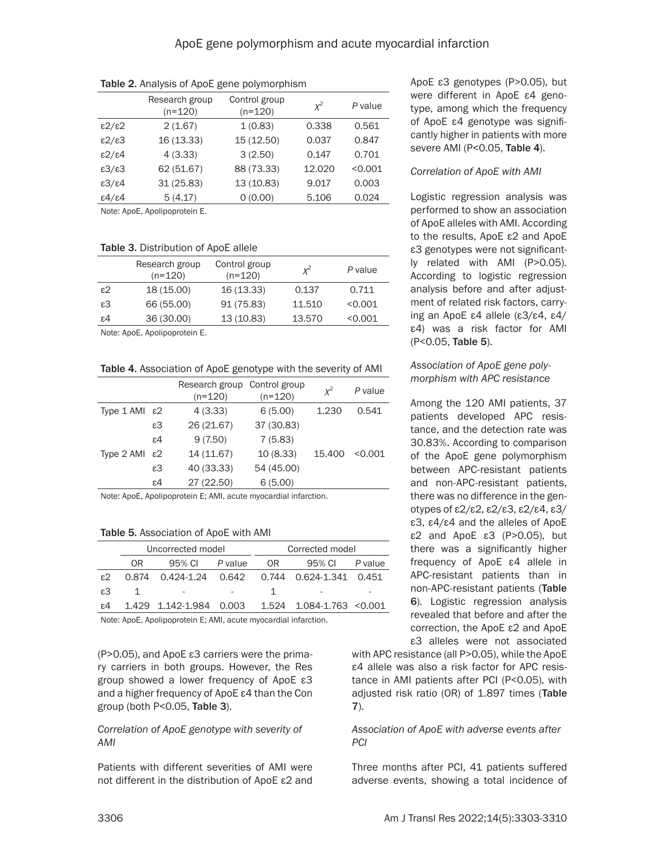|                            | Research group<br>$(n=120)$ | Control group<br>$(n=120)$ | $x^2$  | P value |
|----------------------------|-----------------------------|----------------------------|--------|---------|
| $\epsilon$ 2/ $\epsilon$ 2 | 2(1.67)                     | 1(0.83)                    | 0.338  | 0.561   |
| $\epsilon$ 2/ $\epsilon$ 3 | 16 (13.33)                  | 15 (12.50)                 | 0.037  | 0.847   |
| $\epsilon$ 2/ $\epsilon$ 4 | 4(3.33)                     | 3(2.50)                    | 0.147  | 0.701   |
| E3/E3                      | 62 (51.67)                  | 88 (73.33)                 | 12.020 | < 0.001 |
| $\epsilon$ 3/ $\epsilon$ 4 | 31 (25.83)                  | 13 (10.83)                 | 9.017  | 0.003   |
| $\epsilon$ 4/ $\epsilon$ 4 | 5(4.17)                     | 0(0.00)                    | 5.106  | 0.024   |
|                            | $N = 1$                     |                            |        |         |

Table 2. Analysis of ApoE gene polymorphism

Note: ApoE, Apolipoprotein E.

### Table 3. Distribution of ApoE allele

| Research group<br>$(n=120)$ | Control group<br>$(n=120)$ | $X^2$  | P value |
|-----------------------------|----------------------------|--------|---------|
| 18 (15.00)                  | 16 (13.33)                 | 0.137  | 0.711   |
| 66 (55.00)                  | 91 (75.83)                 | 11.510 | < 0.001 |
| 36 (30.00)                  | 13 (10.83)                 | 13.570 | < 0.001 |
|                             |                            |        |         |

Note: ApoE, Apolipoprotein E.

Table 4. Association of ApoE genotype with the severity of AMI

|                           |                 | Research group Control group<br>$(n=120)$ | $(n=120)$  | $x^2$  | P value |
|---------------------------|-----------------|-------------------------------------------|------------|--------|---------|
| Type 1 AMI ε2             |                 | 4(3.33)                                   | 6(5.00)    | 1.230  | 0.541   |
|                           | ε3              | 26 (21.67)                                | 37 (30.83) |        |         |
|                           | $\varepsilon$ 4 | 9(7.50)                                   | 7(5.83)    |        |         |
| Type $2$ AMI $\epsilon$ 2 |                 | 14 (11.67)                                | 10(8.33)   | 15.400 | < 0.001 |
|                           | $\varepsilon$ 3 | 40 (33.33)                                | 54 (45.00) |        |         |
|                           | $\varepsilon$ 4 | 27 (22.50)                                | 6(5.00)    |        |         |

Note: ApoE, Apolipoprotein E; AMI, acute myocardial infarction.

#### Table 5. Association of ApoE with AMI

|    | Uncorrected model |                          |         |    | Corrected model           |         |
|----|-------------------|--------------------------|---------|----|---------------------------|---------|
|    | OR.               | 95% CI                   | P value | OR | 95% CI                    | P value |
| ۶2 | 0.874             |                          |         |    |                           |         |
| ε3 |                   | $\overline{\phantom{a}}$ |         |    |                           |         |
| ε4 |                   | 1.429 1.142-1.984 0.003  |         |    | 1.524 1.084-1.763 < 0.001 |         |

Note: ApoE, Apolipoprotein E; AMI, acute myocardial infarction.

(P>0.05), and ApoE ε3 carriers were the primary carriers in both groups. However, the Res group showed a lower frequency of ApoE ε3 and a higher frequency of ApoE ε4 than the Con group (both P<0.05, Table 3).

### *Correlation of ApoE genotype with severity of AMI*

Patients with different severities of AMI were not different in the distribution of ApoE ε2 and ApoE ε3 genotypes (P>0.05), but were different in ApoE ε4 genotype, among which the frequency of ApoE ε4 genotype was significantly higher in patients with more severe AMI (P<0.05, Table 4).

## *Correlation of ApoE with AMI*

Logistic regression analysis was performed to show an association of ApoE alleles with AMI. According to the results, ApoE ε2 and ApoE ε3 genotypes were not significantly related with AMI (P>0.05). According to logistic regression analysis before and after adjustment of related risk factors, carrying an ApoE ε4 allele (ε3/ε4, ε4/ ε4) was a risk factor for AMI (P<0.05, Table 5).

## *Association of ApoE gene polymorphism with APC resistance*

Among the 120 AMI patients, 37 patients developed APC resistance, and the detection rate was 30.83%. According to comparison of the ApoE gene polymorphism between APC-resistant patients and non-APC-resistant patients, there was no difference in the genotypes of ε2/ε2, ε2/ε3, ε2/ε4, ε3/ ε3, ε4/ε4 and the alleles of ApoE ε2 and ApoE ε3 (P>0.05), but there was a significantly higher frequency of ApoE ε4 allele in APC-resistant patients than in non-APC-resistant patients (Table 6). Logistic regression analysis revealed that before and after the correction, the ApoE ε2 and ApoE ε3 alleles were not associated

with APC resistance (all P>0.05), while the ApoE ε4 allele was also a risk factor for APC resistance in AMI patients after PCI (P<0.05), with adjusted risk ratio (OR) of 1.897 times (Table 7).

## *Association of ApoE with adverse events after PCI*

Three months after PCI, 41 patients suffered adverse events, showing a total incidence of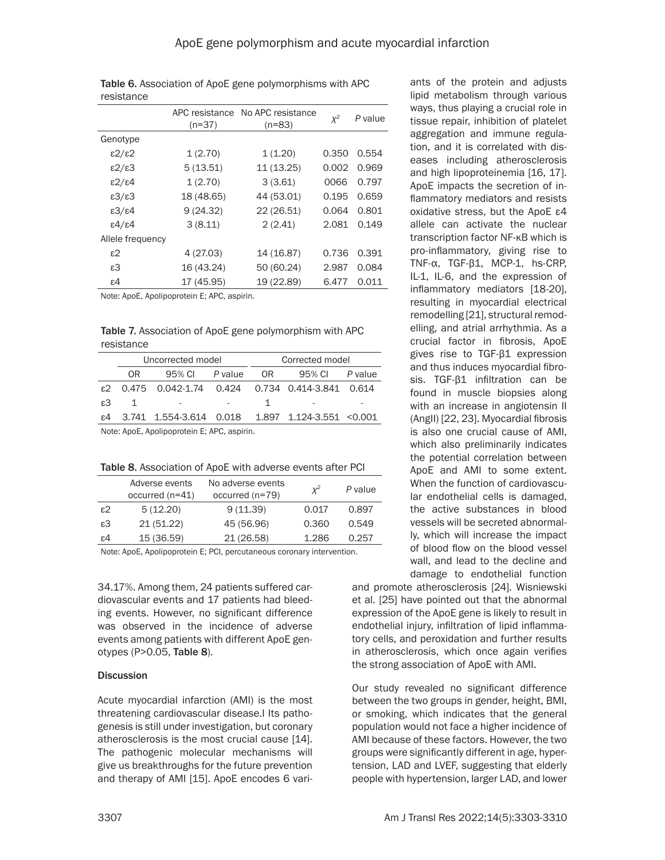| ισοιοιαιινσ                |                            |                               |       |         |
|----------------------------|----------------------------|-------------------------------|-------|---------|
|                            | APC resistance<br>$(n=37)$ | No APC resistance<br>$(n=83)$ | $X^2$ | P value |
| Genotype                   |                            |                               |       |         |
| $\epsilon$ 2/ $\epsilon$ 2 | 1(2.70)                    | 1(1.20)                       | 0.350 | 0.554   |
| $\epsilon$ 2/ $\epsilon$ 3 | 5(13.51)                   | 11 (13.25)                    | 0.002 | 0.969   |
| $\epsilon$ 2/ $\epsilon$ 4 | 1(2.70)                    | 3(3.61)                       | 0066  | 0.797   |
| $\epsilon$ 3/ $\epsilon$ 3 | 18 (48.65)                 | 44 (53.01)                    | 0.195 | 0.659   |
| $\epsilon$ 3/ $\epsilon$ 4 | 9(24.32)                   | 22 (26.51)                    | 0.064 | 0.801   |
| $\epsilon$ 4/ $\epsilon$ 4 | 3(8.11)                    | 2(2.41)                       | 2.081 | 0.149   |
| Allele frequency           |                            |                               |       |         |
| $\epsilon$ 2               | 4 (27.03)                  | 14 (16.87)                    | 0.736 | 0.391   |
| $\varepsilon$ 3            | 16 (43.24)                 | 50 (60.24)                    | 2.987 | 0.084   |
| ε4                         | 17 (45.95)                 | 19 (22.89)                    | 6.477 | 0.011   |

Table 6. Association of ApoE gene polymorphisms with APC resistance

Note: ApoE, Apolipoprotein E; APC, aspirin.

Table 7. Association of ApoE gene polymorphism with APC resistance

|    |    | Uncorrected model                                   |         | Corrected model |        |         |
|----|----|-----------------------------------------------------|---------|-----------------|--------|---------|
|    |    |                                                     |         |                 |        |         |
|    | 0R | 95% CI                                              | P value | OR.             | 95% CI | P value |
| ε2 |    | 0.475  0.042-1.74  0.424  0.734  0.414-3.841  0.614 |         |                 |        |         |
| ε3 | 1  |                                                     |         |                 |        |         |
| ε4 |    | 3.741 1.554-3.614 0.018 1.897 1.124-3.551 <0.001    |         |                 |        |         |
|    |    | Note: AnoE Apolipoprotoin E: APC appirin            |         |                 |        |         |

Note: ApoE, Apolipoprotein E; APC, aspirin.

Table 8. Association of ApoE with adverse events after PCI

|              | Adverse events<br>$occurred (n=41)$ | No adverse events<br>occurred (n=79) | $x^2$ | P value |
|--------------|-------------------------------------|--------------------------------------|-------|---------|
| $\epsilon$ 2 | 5(12.20)                            | 9(11.39)                             | 0.017 | 0.897   |
| ε3           | 21(51.22)                           | 45 (56.96)                           | 0.360 | 0.549   |
| ε4           | 15 (36.59)                          | 21 (26.58)                           | 1.286 | 0.257   |

Note: ApoE, Apolipoprotein E; PCI, percutaneous coronary intervention.

34.17%. Among them, 24 patients suffered cardiovascular events and 17 patients had bleeding events. However, no significant difference was observed in the incidence of adverse events among patients with different ApoE genotypes (P>0.05, Table 8).

#### **Discussion**

Acute myocardial infarction (AMI) is the most threatening cardiovascular disease.I Its pathogenesis is still under investigation, but coronary atherosclerosis is the most crucial cause [14]. The pathogenic molecular mechanisms will give us breakthroughs for the future prevention and therapy of AMI [15]. ApoE encodes 6 variants of the protein and adjusts lipid metabolism through various ways, thus playing a crucial role in tissue repair, inhibition of platelet aggregation and immune regulation, and it is correlated with diseases including atherosclerosis and high lipoproteinemia [16, 17]. ApoE impacts the secretion of inflammatory mediators and resists oxidative stress, but the ApoE ε4 allele can activate the nuclear transcription factor NF-κB which is pro-inflammatory, giving rise to TNF-α, TGF-β1, MCP-1, hs-CRP, IL-1, IL-6, and the expression of inflammatory mediators [18-20], resulting in myocardial electrical remodelling [21], structural remodelling, and atrial arrhythmia. As a crucial factor in fibrosis, ApoE gives rise to TGF-β1 expression and thus induces myocardial fibrosis. TGF-β1 infiltration can be found in muscle biopsies along with an increase in angiotensin II (AngII) [22, 23]. Myocardial fibrosis is also one crucial cause of AMI, which also preliminarily indicates the potential correlation between ApoE and AMI to some extent. When the function of cardiovascular endothelial cells is damaged, the active substances in blood vessels will be secreted abnormally, which will increase the impact of blood flow on the blood vessel wall, and lead to the decline and damage to endothelial function

and promote atherosclerosis [24]. Wisniewski et al. [25] have pointed out that the abnormal expression of the ApoE gene is likely to result in endothelial injury, infiltration of lipid inflammatory cells, and peroxidation and further results in atherosclerosis, which once again verifies the strong association of ApoE with AMI.

Our study revealed no significant difference between the two groups in gender, height, BMI, or smoking, which indicates that the general population would not face a higher incidence of AMI because of these factors. However, the two groups were significantly different in age, hypertension, LAD and LVEF, suggesting that elderly people with hypertension, larger LAD, and lower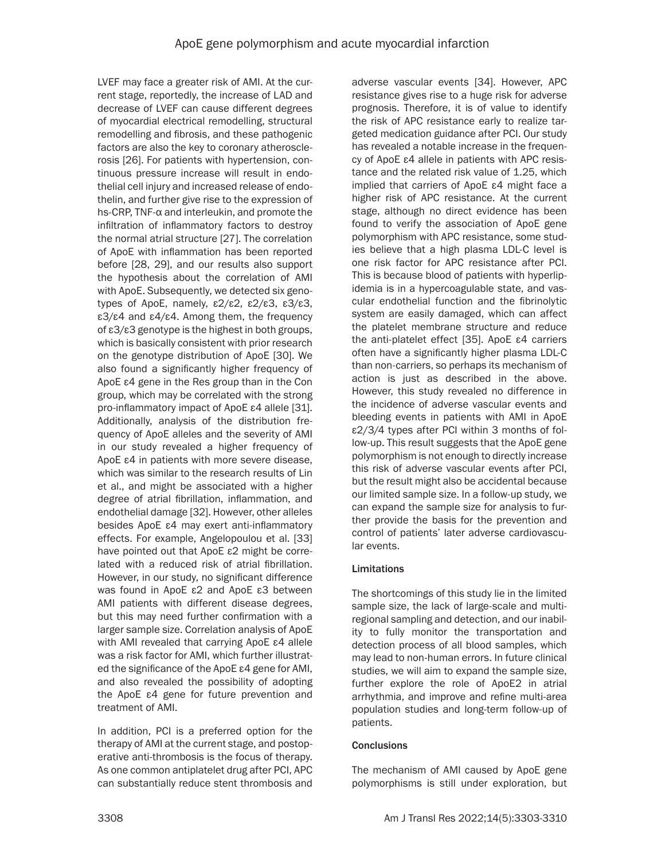LVEF may face a greater risk of AMI. At the current stage, reportedly, the increase of LAD and decrease of LVEF can cause different degrees of myocardial electrical remodelling, structural remodelling and fibrosis, and these pathogenic factors are also the key to coronary atherosclerosis [26]. For patients with hypertension, continuous pressure increase will result in endothelial cell injury and increased release of endothelin, and further give rise to the expression of hs-CRP, TNF-α and interleukin, and promote the infiltration of inflammatory factors to destroy the normal atrial structure [27]. The correlation of ApoE with inflammation has been reported before [28, 29], and our results also support the hypothesis about the correlation of AMI with ApoE. Subsequently, we detected six genotypes of ApoE, namely, ε2/ε2, ε2/ε3, ε3/ε3, ε3/ε4 and ε4/ε4. Among them, the frequency of ε3/ε3 genotype is the highest in both groups, which is basically consistent with prior research on the genotype distribution of ApoE [30]. We also found a significantly higher frequency of ApoE ε4 gene in the Res group than in the Con group, which may be correlated with the strong pro-inflammatory impact of ApoE ε4 allele [31]. Additionally, analysis of the distribution frequency of ApoE alleles and the severity of AMI in our study revealed a higher frequency of ApoE ε4 in patients with more severe disease, which was similar to the research results of Lin et al., and might be associated with a higher degree of atrial fibrillation, inflammation, and endothelial damage [32]. However, other alleles besides ApoE ε4 may exert anti-inflammatory effects. For example, Angelopoulou et al. [33] have pointed out that ApoE ε2 might be correlated with a reduced risk of atrial fibrillation. However, in our study, no significant difference was found in ApoE ε2 and ApoE ε3 between AMI patients with different disease degrees, but this may need further confirmation with a larger sample size. Correlation analysis of ApoE with AMI revealed that carrying ApoE ε4 allele was a risk factor for AMI, which further illustrated the significance of the ApoE ε4 gene for AMI, and also revealed the possibility of adopting the ApoE ε4 gene for future prevention and treatment of AMI.

In addition, PCI is a preferred option for the therapy of AMI at the current stage, and postoperative anti-thrombosis is the focus of therapy. As one common antiplatelet drug after PCI, APC can substantially reduce stent thrombosis and adverse vascular events [34]. However, APC resistance gives rise to a huge risk for adverse prognosis. Therefore, it is of value to identify the risk of APC resistance early to realize targeted medication guidance after PCI. Our study has revealed a notable increase in the frequency of ApoE ε4 allele in patients with APC resistance and the related risk value of 1.25, which implied that carriers of ApoE ε4 might face a higher risk of APC resistance. At the current stage, although no direct evidence has been found to verify the association of ApoE gene polymorphism with APC resistance, some studies believe that a high plasma LDL-C level is one risk factor for APC resistance after PCI. This is because blood of patients with hyperlipidemia is in a hypercoagulable state, and vascular endothelial function and the fibrinolytic system are easily damaged, which can affect the platelet membrane structure and reduce the anti-platelet effect [35]. ApoE ε4 carriers often have a significantly higher plasma LDL-C than non-carriers, so perhaps its mechanism of action is just as described in the above. However, this study revealed no difference in the incidence of adverse vascular events and bleeding events in patients with AMI in ApoE ε2/3/4 types after PCI within 3 months of follow-up. This result suggests that the ApoE gene polymorphism is not enough to directly increase this risk of adverse vascular events after PCI, but the result might also be accidental because our limited sample size. In a follow-up study, we can expand the sample size for analysis to further provide the basis for the prevention and control of patients' later adverse cardiovascular events.

# Limitations

The shortcomings of this study lie in the limited sample size, the lack of large-scale and multiregional sampling and detection, and our inability to fully monitor the transportation and detection process of all blood samples, which may lead to non-human errors. In future clinical studies, we will aim to expand the sample size, further explore the role of ApoE2 in atrial arrhythmia, and improve and refine multi-area population studies and long-term follow-up of patients.

# **Conclusions**

The mechanism of AMI caused by ApoE gene polymorphisms is still under exploration, but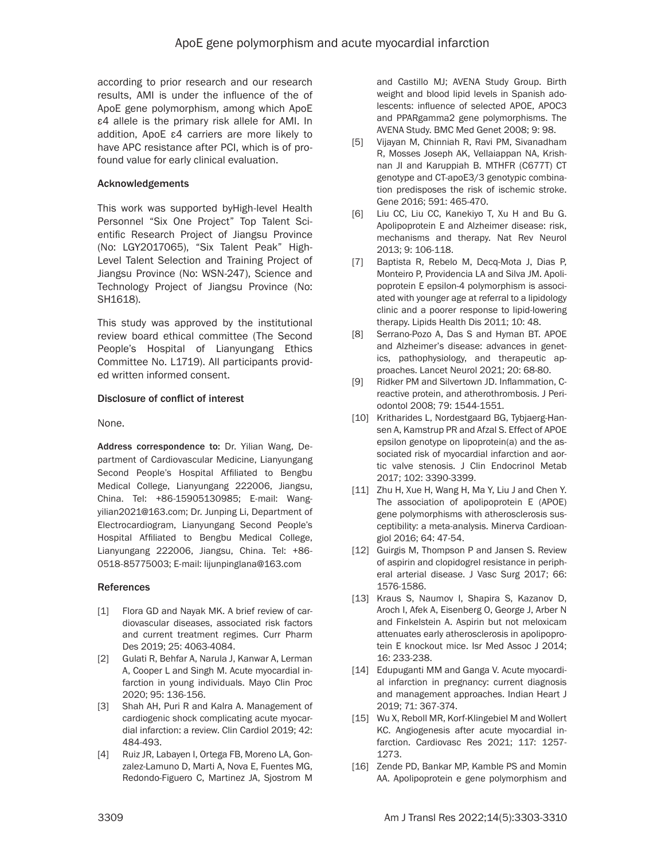according to prior research and our research results, AMI is under the influence of the of ApoE gene polymorphism, among which ApoE ε4 allele is the primary risk allele for AMI. In addition, ApoE ε4 carriers are more likely to have APC resistance after PCI, which is of profound value for early clinical evaluation.

## Acknowledgements

This work was supported byHigh-level Health Personnel "Six One Project" Top Talent Scientific Research Project of Jiangsu Province (No: LGY2017065), "Six Talent Peak" High-Level Talent Selection and Training Project of Jiangsu Province (No: WSN-247), Science and Technology Project of Jiangsu Province (No: SH1618).

This study was approved by the institutional review board ethical committee (The Second People's Hospital of Lianyungang Ethics Committee No. L1719). All participants provided written informed consent.

### Disclosure of conflict of interest

None.

Address correspondence to: Dr. Yilian Wang, Department of Cardiovascular Medicine, Lianyungang Second People's Hospital Affiliated to Bengbu Medical College, Lianyungang 222006, Jiangsu, China. Tel: +86-15905130985; E-mail: [Wang](mailto:Wangyilian2021@163.com)[yilian2021@163.com;](mailto:Wangyilian2021@163.com) Dr. Junping Li, Department of Electrocardiogram, Lianyungang Second People's Hospital Affiliated to Bengbu Medical College, Lianyungang 222006, Jiangsu, China. Tel: +86- 0518-85775003; E-mail: lijunpinglana@163.com

#### References

- [1] Flora GD and Nayak MK. A brief review of cardiovascular diseases, associated risk factors and current treatment regimes. Curr Pharm Des 2019; 25: 4063-4084.
- [2] Gulati R, Behfar A, Narula J, Kanwar A, Lerman A, Cooper L and Singh M. Acute myocardial infarction in young individuals. Mayo Clin Proc 2020; 95: 136-156.
- [3] Shah AH, Puri R and Kalra A. Management of cardiogenic shock complicating acute myocardial infarction: a review. Clin Cardiol 2019; 42: 484-493.
- [4] Ruiz JR, Labayen I, Ortega FB, Moreno LA, Gonzalez-Lamuno D, Marti A, Nova E, Fuentes MG, Redondo-Figuero C, Martinez JA, Sjostrom M

and Castillo MJ; AVENA Study Group. Birth weight and blood lipid levels in Spanish adolescents: influence of selected APOE, APOC3 and PPARgamma2 gene polymorphisms. The AVENA Study. BMC Med Genet 2008; 9: 98.

- [5] Vijayan M, Chinniah R, Ravi PM, Sivanadham R, Mosses Joseph AK, Vellaiappan NA, Krishnan JI and Karuppiah B. MTHFR (C677T) CT genotype and CT-apoE3/3 genotypic combination predisposes the risk of ischemic stroke. Gene 2016; 591: 465-470.
- [6] Liu CC, Liu CC, Kanekiyo T, Xu H and Bu G. Apolipoprotein E and Alzheimer disease: risk, mechanisms and therapy. Nat Rev Neurol 2013; 9: 106-118.
- [7] Baptista R, Rebelo M, Decq-Mota J, Dias P, Monteiro P, Providencia LA and Silva JM. Apolipoprotein E epsilon-4 polymorphism is associated with younger age at referral to a lipidology clinic and a poorer response to lipid-lowering therapy. Lipids Health Dis 2011; 10: 48.
- [8] Serrano-Pozo A, Das S and Hyman BT. APOE and Alzheimer's disease: advances in genetics, pathophysiology, and therapeutic approaches. Lancet Neurol 2021; 20: 68-80.
- [9] Ridker PM and Silvertown JD. Inflammation, Creactive protein, and atherothrombosis. J Periodontol 2008; 79: 1544-1551.
- [10] Kritharides L, Nordestgaard BG, Tybjaerg-Hansen A, Kamstrup PR and Afzal S. Effect of APOE epsilon genotype on lipoprotein(a) and the associated risk of myocardial infarction and aortic valve stenosis. J Clin Endocrinol Metab 2017; 102: 3390-3399.
- [11] Zhu H, Xue H, Wang H, Ma Y, Liu J and Chen Y. The association of apolipoprotein E (APOE) gene polymorphisms with atherosclerosis susceptibility: a meta-analysis. Minerva Cardioangiol 2016; 64: 47-54.
- [12] Guirgis M, Thompson P and Jansen S. Review of aspirin and clopidogrel resistance in peripheral arterial disease. J Vasc Surg 2017; 66: 1576-1586.
- [13] Kraus S, Naumov I, Shapira S, Kazanov D, Aroch I, Afek A, Eisenberg O, George J, Arber N and Finkelstein A. Aspirin but not meloxicam attenuates early atherosclerosis in apolipoprotein E knockout mice. Isr Med Assoc J 2014; 16: 233-238.
- [14] Edupuganti MM and Ganga V. Acute myocardial infarction in pregnancy: current diagnosis and management approaches. Indian Heart J 2019; 71: 367-374.
- [15] Wu X, Reboll MR, Korf-Klingebiel M and Wollert KC. Angiogenesis after acute myocardial infarction. Cardiovasc Res 2021; 117: 1257- 1273.
- [16] Zende PD, Bankar MP, Kamble PS and Momin AA. Apolipoprotein e gene polymorphism and